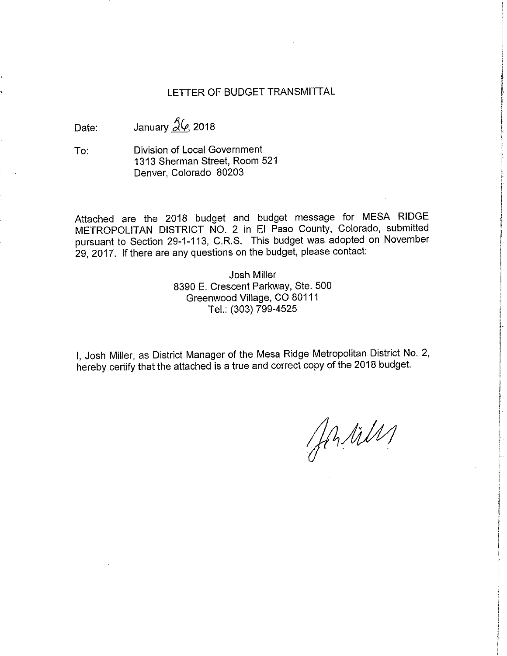# LETTER OF BUDGET TRANSMITTAL

Date: January  $\frac{\mathcal{S}(\rho)}{(\rho)}$  2018

To: Division of Local Government 1313 Sherman Street, Room 521 Denver, Colorado 80203

Attached are the 2018 budget and budget message for MESA RIDGE METROPOLITAN DISTRICT NO. 2 in El Paso County, Colorado, submitted pursuant to Section 29-1-113, C.R.S. This budget was adopted on November 29, 2017. If there are any questions on the budget, please contact:

> Josh Miller 8390 E. Crescent Parkway, Ste. 500 Greenwood Village, CO 80111 Tel.: (303) 799-4525

I, Josh Miller, as District Manager of the Mesa Ridge Metropolitan District No. 2, hereby certify that the attached is a true and correct copy of the 2018 budget.

Antiles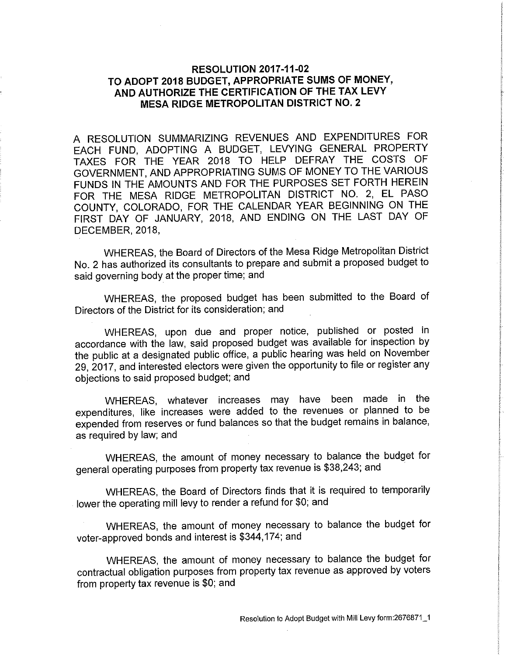# **RESOLUTION 2017-11-02 TO ADOPT 2018 BUDGET, APPROPRIATE SUMS OF MONEY, AND AUTHORIZE THE CERTIFICATION OF THE TAX LEVY MESA RIDGE METROPOLITAN DISTRICT NO. 2**

A RESOLUTION SUMMARIZING REVENUES AND EXPENDITURES FOR EACH FUND, ADOPTING A BUDGET, LEVYING GENERAL PROPERTY TAXES FOR THE YEAR 2018 TO HELP DEFRAY THE COSTS OF GOVERNMENT, AND APPROPRIATING SUMS OF MONEY TO THE VARIOUS FUNDS IN THE AMOUNTS AND FOR THE PURPOSES SET FORTH HEREIN FOR THE MESA RIDGE METROPOLITAN DISTRICT NO. 2, EL PASO COUNTY, COLORADO, FOR THE CALENDAR YEAR BEGINNING ON THE FIRST DAY OF JANUARY, 2018, AND ENDING ON THE LAST DAY OF DECEMBER, 2018,

WHEREAS, the Board of Directors of the Mesa Ridge Metropolitan District No. 2 has authorized its consultants to prepare and submit a proposed budget to said governing body at the proper time; and

WHEREAS, the proposed budget has been submitted to the Board of Directors of the District for its consideration; and

WHEREAS, upon due and proper notice, published or posted in accordance with the law, said proposed budget was available for inspection by the public at a designated public office, a public hearing was held on November 29, 2017, and interested electors were given the opportunity to file or register any objections to said proposed budget; and

WHEREAS, whatever increases may have been made in the expenditures, like increases were added to the revenues or planned to be expended from reserves or fund balances so that the budget remains in balance, as required by law; and

WHEREAS, the amount of money necessary to balance the budget for general operating purposes from property tax revenue is \$38,243; and

WHEREAS, the Board of Directors finds that it is required to temporarily lower the operating mill levy to render a refund for \$0; and

WHEREAS, the amount of money necessary to balance the budget for voter-approved bonds and interest is \$344,174; and

WHEREAS, the amount of money necessary to balance the budget for contractual obligation purposes from property tax revenue as approved by voters from property tax revenue is \$0; and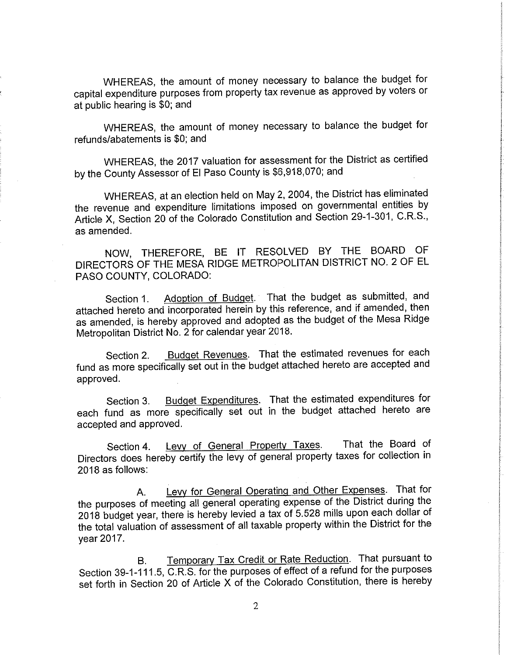WHEREAS, the amount of money necessary to balance the budget for capital expenditure purposes from property tax revenue as approved by voters or at public hearing is \$0; and

WHEREAS, the amount of money necessary to balance the budget for refunds/abatements is \$0; and

WHEREAS, the 2017 valuation for assessment for the District as certified by the County Assessor of El Paso County is \$6,918,070; and

WHEREAS, at an election held on May 2, 2004, the District has eliminated the revenue and expenditure limitations imposed on governmental entities by Article X, Section 20 of the Colorado Constitution and Section 29-1-301, C.R.S., as amended.

NOW, THEREFORE, BE IT RESOLVED BY THE BOARD OF DIRECTORS OF THE MESA RIDGE METROPOLITAN DISTRICT NO. 2 OF EL PASO COUNTY, COLORADO:

Section 1. Adoption of Budget. That the budget as submitted, and attached hereto and incorporated herein by this reference, and if amended, then as amended, is hereby approved and adopted as the budget of the Mesa Ridge Metropolitan District No. 2 for calendar year 2018.

Section 2. Budget Revenues. That the estimated revenues for each fund as more specifically set out in the budget attached hereto are accepted and approved.

Section 3. Budget Expenditures. That the estimated expenditures for each fund as more specifically set out in the budget attached hereto are accepted and approved.

Section 4. Levy of General Property Taxes. That the Board of Directors does hereby certify the levy of general property taxes for collection in 2018 as follows:

A. Levy for General Operating and Other Expenses. That for the purposes of meeting all general operating expense of the District during the 2018 budget year, there is hereby levied a tax of 5.528 mills upon each dollar of the total valuation of assessment of all taxable property within the District for the year 2017.

B. Temporary Tax Credit or Rate Reduction. That pursuant to Section 39-1-111.5, C.R.S. for the purposes of effect of a refund for the purposes set forth in Section 20 of Article X of the Colorado Constitution, there is hereby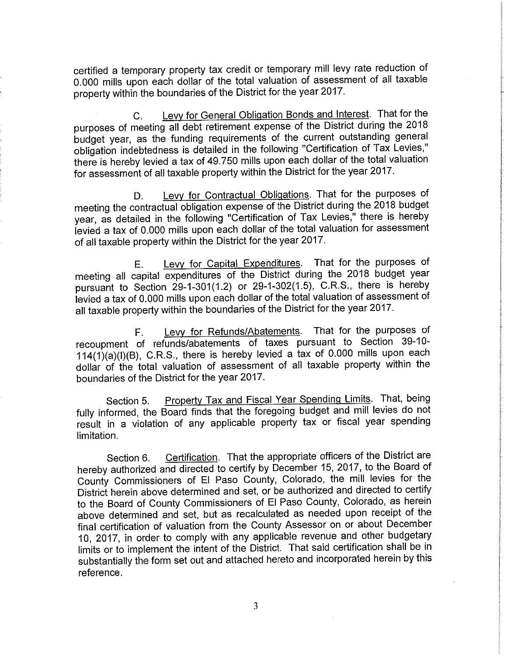certified a temporary property tax credit or temporary mill levy rate reduction of 0.000 mills upon each dollar of the total valuation of assessment of all taxable property within the boundaries of the District for the year 2017.

C. Levy for General Obligation Bonds and Interest. That for the purposes of meeting all debt retirement expense of the District during the 2018 budget year, as the funding requirements of the current outstanding general obligation indebtedness is detailed in the following "Certification of Tax Levies," there is hereby levied a tax of 49.750 mills upon each dollar of the total valuation for assessment of all taxable property within the District for the year 2017.

D. Levy for Contractual Obligations. That for the purposes of meeting the contractual obligation expense of the District during the 2018 budget year, as detailed in the following "Certification of Tax Levies," there is hereby levied a tax of 0.000 mills upon each dollar of the total valuation for assessment of all taxable property within the District for the year 2017.

E. Levy for Capital Expenditures. That for the purposes of meeting all capital expenditures of the District during the 2018 budget year pursuant to Section 29-1-301(1.2) or 29-1-302(1.5), C.R.S., there is hereby levied a tax of 0.000 mills upon each dollar of the total valuation of assessment of all taxable property within the boundaries of the District for the year 2017.

F. Levy for Refunds/Abatements. That for the purposes of recoupment of refunds/abatements of taxes pursuant to Section 39-10- 114(1)(a)(I)(B), C.R.S., there is hereby levied a tax of 0.000 mills upon each dollar of the total valuation of assessment of all taxable property within the boundaries of the District for the year 2017.

Section 5. Property Tax and Fiscal Year Spending Limits. That, being fully informed, the Board finds that the foregoing budget and mill levies do not result in a violation of any applicable property tax or fiscal year spending limitation.

Section 6. Certification. That the appropriate officers of the District are hereby authorized and directed to certify by December 15, 2017, to the Board of County Commissioners of El Paso County, Colorado, the mill levies for the District herein above determined and set, or be authorized and directed to certify to the Board of County Commissioners of El Paso County, Colorado, as herein above determined and set, but as recalculated as needed upon receipt of the final certification of valuation from the County Assessor on or about December 10, 2017, in order to comply with any applicable revenue and other budgetary limits or to implement the intent of the District. That said certification shall be in substantially the form set out and attached hereto and incorporated herein by this reference.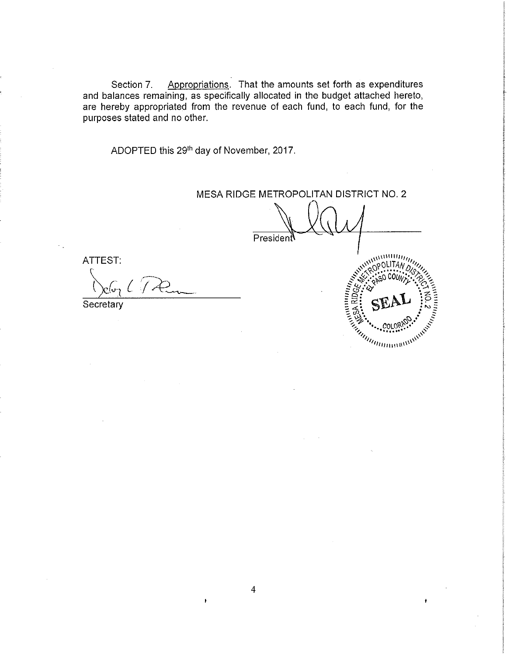Section 7. Appropriations. That the amounts set forth as expenditures and balances remaining, as specifically allocated in the budget attached hereto, are hereby appropriated from the revenue of each fund, to each fund, for the purposes stated and no other.

ADOPTED this 29<sup>th</sup> day of November, 2017.

# MESA RIDGE METROPOLITAN DISTRICT NO. 2

President

ATTEST: L

**Secretary** 

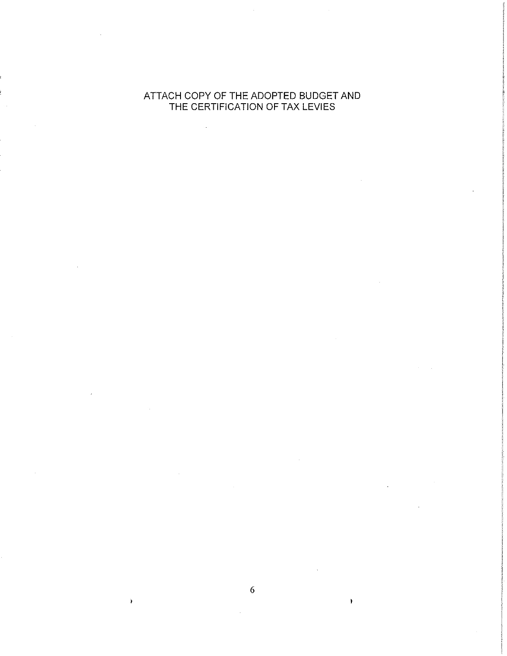# ATTACH COPY OF THE ADOPTED BUDGET AND THE CERTIFICATION OF TAX LEVIES

 $\bar{z}$ 

6

 $\lambda$ 

 $\mathcal{L}$ 

¥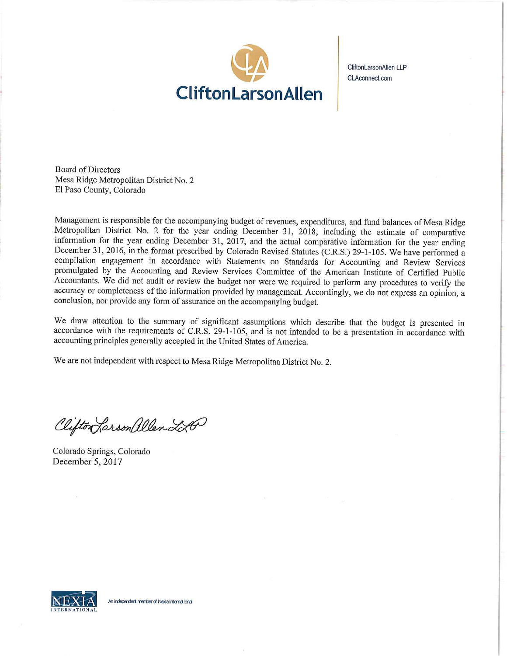

CliftonLarsonAllen LLP CLAconnect,com

Board of Directors Mesa Ridge Metropolitan District No. 2 El Paso County, Colorado

Management is responsible for the accompanying budget of revenues, expenditures, and fund balances of Mesa Ridge Metropolitan District No. 2 for the year ending Deceniber 31, 2018, including the estimate of comparative information for the year ending December 31, 2017, and the actual comparative information for the year ending December 31, 2016, in the format prescribed by Colorado Revised Statutes (C.R.S.) 29-1-105. We have performed a compilation engagement in accordance with Statements on Standards for Accounting and Review Services promulgated by the Accounting and Review Services Committee of the American Institute of Certified Public Accountants. We did not audit or review the budget nor were we required to perform any procedures to verify the accuracy or completeness of the information provided by management. Accordingly, we do not express an opinion, a conclusion, nor provide any form of assurance on the accompanying budget.

We draw attention to the summary of significant assumptions which describe that the budget is presented in accordance with the requirements of C.R.S. 29-1-105, and is not intended to be a presentation in accordance with accounting principles generally accepted in the United States of America.

We are not independent with respect to Mesa Ridge Metropolitan District No. 2.

Clifton Larson allen LA

Colorado Springs, Colorado December *5,* 2017

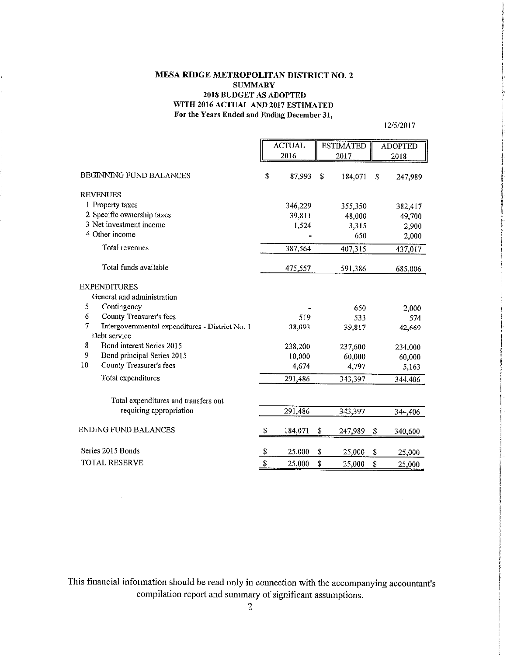## MESA RIDGE METROPOLITAN DISTRICT NO.2 **SUMMARY** 2018 BUDGET AS ADOPTED WITH 2016 ACTUAL AND 2017 ESTIMATED For the Years Ended and Ending December 31,

*12/5/2017* 

|                                                      |    | <b>ACTUAL</b> | <b>ESTIMATED</b> | <b>ADOPTED</b> |
|------------------------------------------------------|----|---------------|------------------|----------------|
|                                                      |    | 2016          | 2017             | 2018           |
| <b>BEGINNING FUND BALANCES</b>                       |    | 87,993        | \$<br>184,071    | \$<br>247.989  |
| <b>REVENUES</b>                                      |    |               |                  |                |
| 1 Property taxes                                     |    | 346,229       | 355,350          | 382,417        |
| 2 Specific ownership taxes                           |    | 39,811        | 48,000           | 49,700         |
| 3 Net investment income                              |    | 1,524         | 3,315            | 2,900          |
| 4 Other income                                       |    |               | 650              | 2,000          |
| Total revenues                                       |    | 387,564       | 407,315          | 437,017        |
| Total funds available                                |    | 475,557       | 591,386          | 685,006        |
| <b>EXPENDITURES</b>                                  |    |               |                  |                |
| General and administration                           |    |               |                  |                |
| 5<br>Contingency                                     |    |               | 650              | 2,000          |
| 6<br>County Treasurer's fees                         |    | 519           | 533              | 574            |
| 7<br>Intergovernmental expenditures - District No. 1 |    | 38,093        | 39,817           | 42,669         |
| Debt service                                         |    |               |                  |                |
| 8<br>Bond interest Series 2015                       |    | 238,200       | 237,600          | 234,000        |
| 9<br>Bond principal Series 2015                      |    | 10,000        | 60,000           | 60,000         |
| 10<br>County Treasurer's fees                        |    | 4,674         | 4,797            | 5,163          |
| Total expenditures                                   |    | 291,486       | 343,397          | 344,406        |
| Total expenditures and transfers out                 |    |               |                  |                |
| requiring appropriation                              |    | 291,486       | 343,397          | 344,406        |
| ENDING FUND BALANCES                                 | \$ | 184,071       | \$<br>247,989    | \$<br>340,600  |
| Series 2015 Bonds                                    | \$ | 25,000        | \$<br>25,000     | \$<br>25,000   |
| <b>TOTAL RESERVE</b>                                 | \$ | 25,000        | \$<br>25,000     | \$<br>25,000   |

 $\bar{\beta}$ 

This financial information should be read only in connection with the accompanying accountant's compilation report and summary of significant assumptions.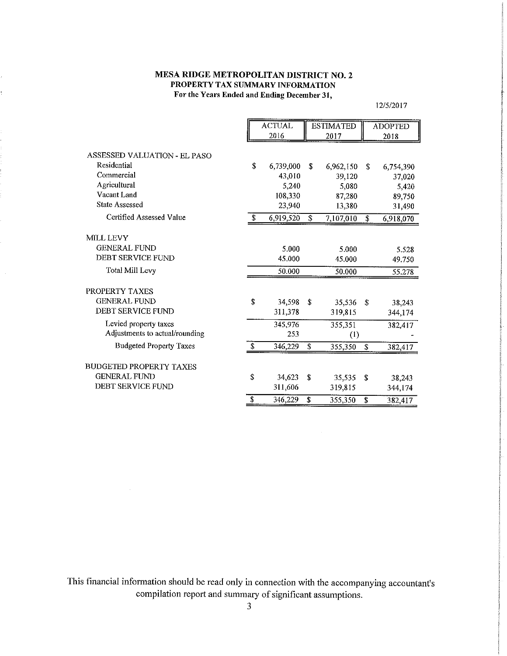## **MESA RIDGE METROPOLITAN DISTRICT NO.2 PROPERTY TAX SUMMARY INFORMATION**  For the Years Ended and Ending December 31,

12/5/20 17

|                                |    | <b>ACTUAL</b> |    | <b>ESTIMATED</b> |    | <b>ADOPTED</b> |
|--------------------------------|----|---------------|----|------------------|----|----------------|
|                                |    | 2016          |    | 2017             |    | 2018           |
| ASSESSED VALUATION - EL PASO   |    |               |    |                  |    |                |
| Residential                    | \$ | 6,739,000     | S  | 6,962,150        | \$ | 6,754,390      |
| Commercial                     |    | 43,010        |    | 39,120           |    | 37,020         |
| Agricultural                   |    | 5,240         |    | 5,080            |    | 5,420          |
| Vacant Land                    |    | 108,330       |    | 87,280           |    | 89,750         |
| <b>State Assessed</b>          |    | 23,940        |    | 13,380           |    | 31,490         |
| Certified Assessed Value       | \$ | 6,919,520     | \$ | 7,107,010        | \$ | 6,918,070      |
| <b>MILL LEVY</b>               |    |               |    |                  |    |                |
| <b>GENERAL FUND</b>            |    | 5.000         |    | 5.000            |    | 5.528          |
| <b>DEBT SERVICE FUND</b>       |    | 45,000        |    | 45.000           |    | 49.750         |
| <b>Total Mill Levy</b>         |    | 50.000        |    | 50.000           |    | 55.278         |
| PROPERTY TAXES                 |    |               |    |                  |    |                |
| <b>GENERAL FUND</b>            | \$ | 34,598        | \$ | 35,536           | \$ | 38,243         |
| <b>DEBT SERVICE FUND</b>       |    | 311,378       |    | 319,815          |    | 344,174        |
| Levied property taxes          |    | 345,976       |    | 355,351          |    | 382,417        |
| Adjustments to actual/rounding |    | 253           |    | (1)              |    |                |
| <b>Budgeted Property Taxes</b> | S  | 346,229       | \$ | 355,350          | \$ | 382,417        |
| <b>BUDGETED PROPERTY TAXES</b> |    |               |    |                  |    |                |
| <b>GENERAL FUND</b>            | \$ | 34,623        | \$ | 35,535           | \$ | 38,243         |
| <b>DEBT SERVICE FUND</b>       |    | 311,606       |    | 319,815          |    | 344,174        |
|                                | \$ | 346,229       | \$ | 355,350          | \$ | 382,417        |

This financial information should be read only in connection with the accompanying accountant's compilation report and summary of significant assumptions.

 $\hat{\mathcal{A}}$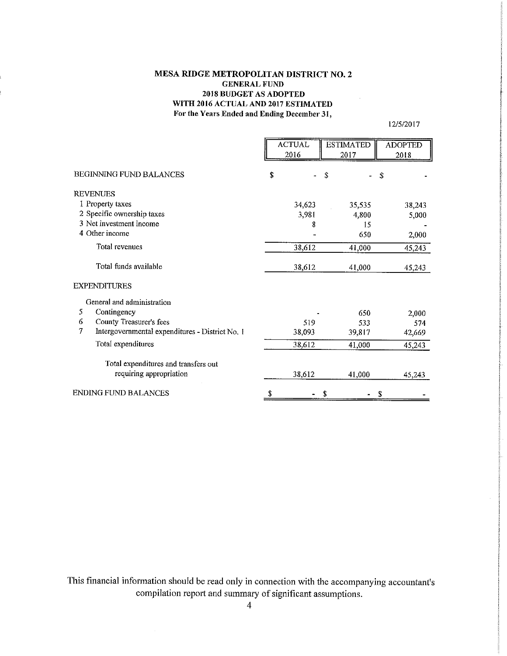## **MESA RIDGE METROPOLITAN DISTRICT NO.2 GENERAL FUND**  2018 BUDGET AS ADOPTED WITH 2016 ACTUAL AND 2017 ESTIMATED For the Years Ended and Ending *December* 31,

12/5/20 17

|                                                      | <b>ACTUAL</b><br>2016 | <b>ESTIMATED</b><br>2017 | <b>ADOPTED</b><br>2018 |
|------------------------------------------------------|-----------------------|--------------------------|------------------------|
| <b>BEGINNING FUND BALANCES</b>                       | \$                    | \$                       | ς                      |
| <b>REVENUES</b>                                      |                       |                          |                        |
| 1 Property taxes                                     | 34,623                | 35,535                   | 38,243                 |
| 2 Specific ownership taxes                           | 3,981                 | 4,800                    | 5,000                  |
| 3 Net investment income                              | 8                     | 15                       |                        |
| 4 Other income                                       |                       | 650                      | 2,000                  |
| Total revenues                                       | 38,612                | 41,000                   | 45,243                 |
| Total funds available                                | 38,612                | 41,000                   | 45,243                 |
| <b>EXPENDITURES</b>                                  |                       |                          |                        |
| General and administration                           |                       |                          |                        |
| Contingency<br>5                                     |                       | 650                      | 2,000                  |
| County Treasurer's fees<br>6                         | 519                   | 533                      | 574                    |
| 7<br>Intergovernmental expenditures - District No. 1 | 38,093                | 39,817                   | 42,669                 |
| Total expenditures                                   | 38,612                | 41,000                   | 45,243                 |
| Total expenditures and transfers out                 |                       |                          |                        |
| requiring appropriation                              | 38,612                | 41,000                   | 45,243                 |
| ENDING FUND BALANCES                                 | \$                    |                          | \$                     |

This financial information should be read only in connection with the accompanying accountant's compilation report and summary of significant assumptions.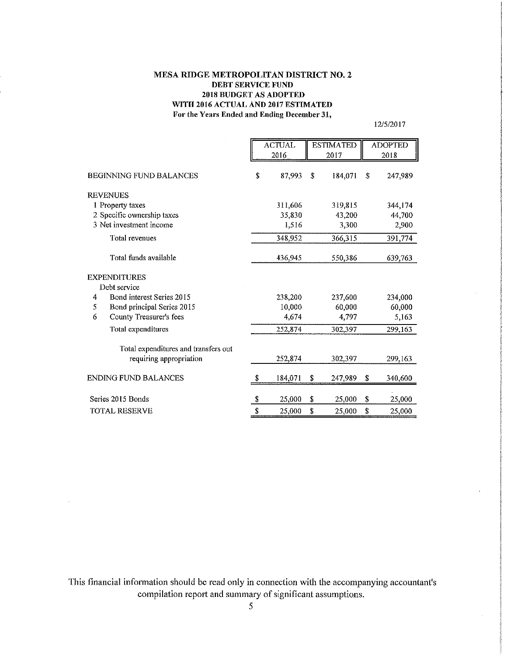## MESA RIDGE METROPOLITAN DISTRICT NO.2 DEBT SERVICE FUND 2018 BUDGET AS ADOPTED WITH 2016 ACTUAL AND 2017 ESTIMATED For the Years Ended and Ending December 31,

12/5/20 17

|                                      | <b>ACTUAL</b> |    | <b>ESTIMATED</b> |    | <b>ADOPTED</b> |
|--------------------------------------|---------------|----|------------------|----|----------------|
|                                      | 2016          |    | 2017             |    | 2018           |
| <b>BEGINNING FUND BALANCES</b>       | \$<br>87.993  | \$ | 184,071          | \$ | 247,989        |
| <b>REVENUES</b>                      |               |    |                  |    |                |
| 1 Property taxes                     | 311,606       |    | 319,815          |    | 344,174        |
| 2 Specific ownership taxes           | 35,830        |    | 43,200           |    | 44,700         |
| 3 Net investment income              | 1,516         |    | 3,300            |    | 2,900          |
| Total revenues                       | 348,952       |    | 366,315          |    | 391,774        |
| Total funds available                | 436,945       |    | 550,386          |    | 639,763        |
| <b>EXPENDITURES</b>                  |               |    |                  |    |                |
| Debt service                         |               |    |                  |    |                |
| Bond interest Series 2015<br>4       | 238,200       |    | 237,600          |    | 234,000        |
| 5<br>Bond principal Series 2015      | 10,000        |    | 60,000           |    | 60,000         |
| 6<br>County Treasurer's fees         | 4.674         |    | 4,797            |    | 5,163          |
| Total expenditures                   | 252,874       |    | 302,397          |    | 299,163        |
| Total expenditures and transfers out |               |    |                  |    |                |
| requiring appropriation              | 252,874       |    | 302,397          |    | 299,163        |
| ENDING FUND BALANCES                 | \$<br>184,071 | \$ | 247,989          | \$ | 340,600        |
| Series 2015 Bonds                    | \$<br>25,000  | \$ | 25,000           | \$ | 25,000         |
|                                      | \$            | \$ |                  | \$ |                |
| <b>TOTAL RESERVE</b>                 | 25,000        |    | 25,000           |    | 25,000         |

This financial information should be read only in connection with the accompanying accountant's compilation report and summary of significant assumptions.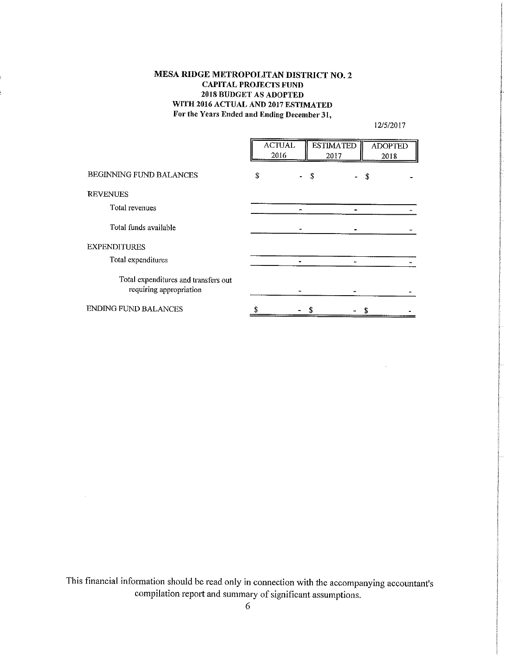# **MESA RIDGE METROPOLITAN DISTRICT NO.2**  CAPITAL PROJECTS FUND 2018 BUDGET AS ADOPTED WITH 2016 ACTUAL AND 2017 ESTIMATED For the Years Ended and Ending December 31,

12/5/2017

|                                                                 | <b>ACTUAL</b><br>2016 | <b>ESTIMATED</b><br>2017 |                 | <b>ADOPTED</b><br>2018 |
|-----------------------------------------------------------------|-----------------------|--------------------------|-----------------|------------------------|
| BEGINNING FUND BALANCES                                         | \$                    | - \$                     | $\sim$ 10 $\pm$ | \$                     |
| <b>REVENUES</b>                                                 |                       |                          |                 |                        |
| Total revenues                                                  |                       |                          |                 |                        |
| Total funds available                                           |                       |                          |                 |                        |
| <b>EXPENDITURES</b>                                             |                       |                          |                 |                        |
| Total expenditures                                              |                       |                          |                 |                        |
| Total expenditures and transfers out<br>requiring appropriation |                       |                          |                 |                        |
| <b>ENDING FUND BALANCES</b>                                     |                       |                          |                 |                        |

This financial information should be read only in connection with the accompanying accountant's compilation report and summary of significant assumptions.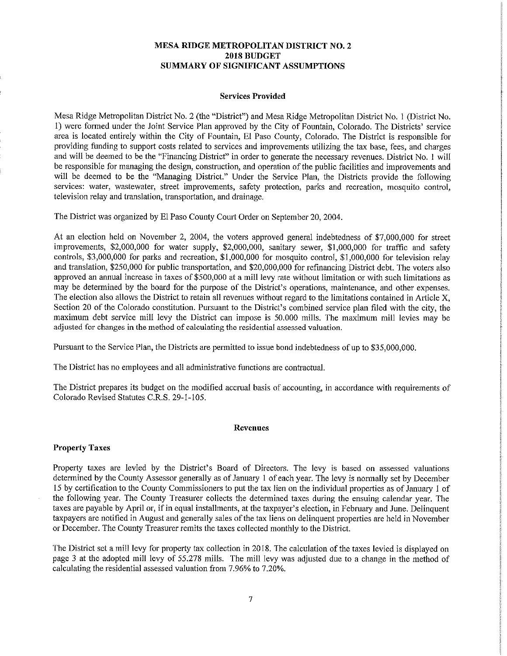## **MESA RIDGE METROPOLITAN DISTRICT NO.2 2018 BUDGET SUMMARY OF SIGNIFICANT ASSUMPTIONS**

#### Services Provided

Mesa Ridge Metropolitan District No. 2 (the "District") and Mesa Ridge Metropolitan District No. I (District No. 1) were formed under the Joint Service Plan approved by the City of Fountain, Colorado. The Districts' service area is located entirely within the City of Fountain, El Paso County, Colorado. The District is responsible for providnig funding to support costs related to services and improvements utilizing the tax base, fees, and charges and will be deemed to be the "Financing District" in order to generate the necessary revenues. District No. I will be responsible for managing the design, construction, and operation of the public facilities and improvements and will be deemed to be the "Managing District." Under the Service Plan, the Districts provide the following services: water, wastewater, street improvements, safety protection, parks and recreation, mosquito control, television relay and translation, transportation, and drainage.

The District was organized by El Paso County Court Order on September 20, 2004.

At an election held on November 2, 2004, the voters approved general indebtedness of \$7,000,000 for street improvements, \$2,000,000 for water supply, \$2,000,000, sanitary sewer, \$1,000,000 for traffic and safety controls, \$3,000,000 for parks and recreation, \$1,000,000 for mosquito control, \$1,000,000 for television relay and translation, \$250,000 for public transportation, and \$20,000,000 for refinancing District debt. The voters also approved an annual increase in taxes of \$500,000 at a mill levy rate without limitation or with such limitations as may be determined by the board for the purpose of the District's operations, maintenance, and other expenses. The election also allows the District to retain all revenues without regard to the limitations contained in Article X, Section 20 of the Colorado constitution. Pursuant to the District's combined service plan filed with the city, the maximum debt service mill levy the District can impose is 50.000 mills. The maximum mill levies may be adjusted for changes in the method of calculating the residential assessed valuation.

Pursuant to the Service Plan, the Districts are permitted to issue bond indebtedness of up to \$35,000,000.

The District has no employees and all administrative functions are contractual.

The District prepares its budget on the modified accrual basis of accounting, in accordance with requirements of Colorado Revised Statutes C.R.S. 29-1-105.

#### Revenues

## Property Taxes

Property taxes are levied by the District's Board of Directors. The levy is based on assessed valuations determined by the County Assessor generally as of January 1 of each year. The levy is normally set by December 15 by certification to the County Commissioners to put the tax lien on the individual properties as of January 1 of the following year. The County Treasurer collects the determined taxes during the ensuing calendar year. The taxes are payable by April or, if in equal installments, at the taxpayer's election, in February and June. Delinquent taxpayers are notified in August and generally sales of the tax liens on delinquent properties are held in November or December. The County Treasurer remits the taxes collected monthly to the District.

The District set a mill levy for property tax collection in 2018. The calculation of the taxes levied is displayed on page 3 at the adopted mill levy of 55.278 mills. The mill levy was adjusted due to a change in the method of calculating the residential assessed valuation from 7.96% to 7.20%.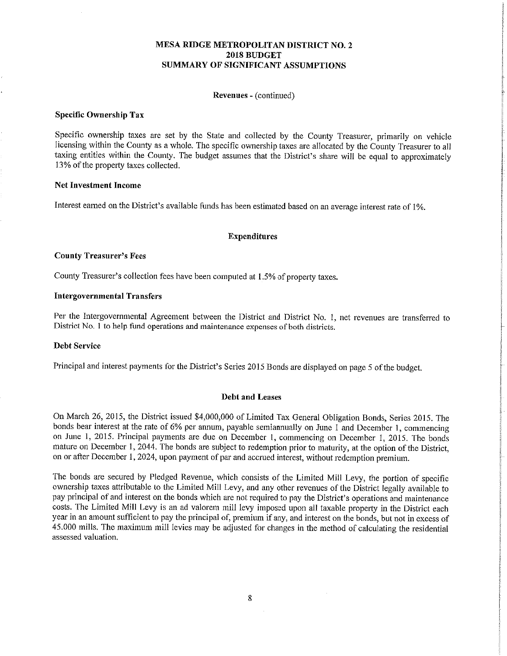## **MESA RIDGE METROPOLITAN DISTRICT NO.2 2018 BUDGET SUMMARY OF SIGNIFICANT ASSUMPTIONS**

#### Revenues - (continued)

#### Specific Ownership Tax

Specific ownership taxes are set by the State and collected by the County Treasurer, primarily on vehicle licensing within the County as a whole. The specific ownership taxes are allocated by the County Treasurer to all taxing entities within the County. The budget assumes that the District's share will be equal to approximately 13% of the property taxes collected.

#### Net Investment Income

Interest earned on the District's available finds has been estimated based on an average interest rate of 1%.

#### Expenditures

#### County Treasurer's Fees

County Treasurer's collection fees have been computed at 1.5% of property taxes.

#### Intergovernmental Transfers

Per the Intergovernmental Agreement between the District and District No. 1, net revenues are transferred to District No. 1 to help fund operations and maintenance expenses of both districts.

#### Debt Service

Principal and interest payments for the District's Series 2015 Bonds are displayed on page 5 of the budget.

#### Debt and Leases

On March 26, 2015, the District issued \$4,000,000 of Limited Tax General Obligation Bonds, Series 2015. The bonds bear interest at the rate of 6% per annum, payable semiannually on June 1 and December 1, commencing on June 1, 2015. Principal payments are due on December I, commencing on December 1, 2015. The bonds mature on December 1,2044. The bonds are subject to redemption prior to maturity, at the option of the District, on or after December 1, 2024, upon payment of par and accrued interest, without redemption premium.

The bonds are secured by Pledged Revenue, which consists of the Limited Mill Levy, the portion of specific ownership taxes attributable to the Limited Mill Levy, and any other revenues of the District legally available to pay principal of and interest on the bonds which are not required to pay the District's operations and maintenance costs. The Limited Mill Levy is an ad valorem mill levy imposed upon all taxable property in the District each year in an amount sufficient to pay the principal of, premium if any, and interest on the bonds, but not in excess of 45.000 mills. The maximum mill levies may be adjusted for changes in the method of calculating the residential assessed valuation.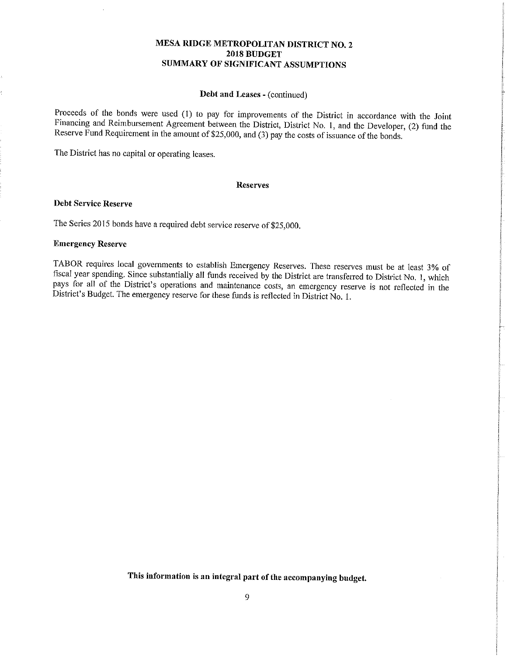## **MESA RIDGE METROPOLITAN DISTRICT NO. 2 2018 BUDGET SUMMARY OF SIGNIFICANT ASSUMPTIONS**

#### Debt and Leases - (continued)

Proceeds of the bonds were used (1) to pay for improvements of the District in accordance with the Joint Financing and Reimbursement Agreement between the District, District No. 1, and the Developer, (2) fund the Reserve Fund Requirement in the amount of \$25,000, and (3) pay the costs of issuance of the bonds.

The District has no capital or operating leases.

#### Reserves

#### Debt Service Reserve

The Series 2015 bonds have a required debt service reserve of \$25,000.

#### Emergency Reserve

TABOR requires local governments to establish Emergency Reserves. These reserves must be at least 3% of fiscal year spending. Since substantially all funds received by the District are transferred to District No. 1, which pays for all of the District's operations and maintenance costs, an emergency reserve is not reflected in the District's Budget. The emergency reserve for these funds is reflected in District No. 1.

This information is an integral part of the accompanying budget.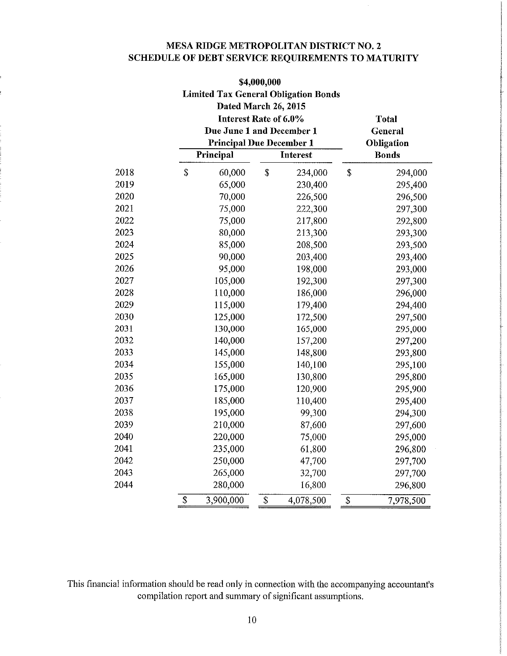# **MESA RIDGE METROPOLITAN DISTRICT NO.2 SCHEDULE OF DEBT SERVICE REQUIREMENTS TO MATURITY**

|                                       |                 | \$4,000,000                                 |                 |              |  |  |  |  |  |
|---------------------------------------|-----------------|---------------------------------------------|-----------------|--------------|--|--|--|--|--|
|                                       |                 | <b>Limited Tax General Obligation Bonds</b> |                 |              |  |  |  |  |  |
|                                       |                 | Dated March 26, 2015                        |                 |              |  |  |  |  |  |
| Interest Rate of 6.0%<br><b>Total</b> |                 |                                             |                 |              |  |  |  |  |  |
|                                       |                 | Due June 1 and December 1<br>General        |                 |              |  |  |  |  |  |
|                                       |                 | <b>Principal Due December 1</b>             |                 | Obligation   |  |  |  |  |  |
|                                       | Principal       | <b>Interest</b>                             |                 | <b>Bonds</b> |  |  |  |  |  |
| 2018                                  | \$<br>60,000    | \$<br>234,000                               | \$              | 294,000      |  |  |  |  |  |
| 2019                                  | 65,000          | 230,400                                     |                 | 295,400      |  |  |  |  |  |
| 2020                                  | 70,000          | 226,500                                     |                 | 296,500      |  |  |  |  |  |
| 2021                                  | 75,000          | 222,300                                     |                 | 297,300      |  |  |  |  |  |
| 2022                                  | 75,000          | 217,800                                     |                 | 292,800      |  |  |  |  |  |
| 2023                                  | 80,000          | 213,300                                     |                 | 293,300      |  |  |  |  |  |
| 2024                                  | 85,000          | 208,500                                     |                 | 293,500      |  |  |  |  |  |
| 2025                                  | 90,000          | 203,400                                     |                 | 293,400      |  |  |  |  |  |
| 2026                                  | 95,000          | 198,000                                     |                 | 293,000      |  |  |  |  |  |
| 2027                                  | 105,000         | 192,300                                     |                 | 297,300      |  |  |  |  |  |
| 2028                                  | 110,000         | 186,000                                     |                 | 296,000      |  |  |  |  |  |
| 2029                                  | 115,000         | 179,400                                     |                 | 294,400      |  |  |  |  |  |
| 2030                                  | 125,000         | 172,500                                     |                 | 297,500      |  |  |  |  |  |
| 2031                                  | 130,000         | 165,000                                     |                 | 295,000      |  |  |  |  |  |
| 2032                                  | 140,000         | 157,200                                     |                 | 297,200      |  |  |  |  |  |
| 2033                                  | 145,000         | 148,800                                     |                 | 293,800      |  |  |  |  |  |
| 2034                                  | 155,000         | 140,100                                     |                 | 295,100      |  |  |  |  |  |
| 2035                                  | 165,000         | 130,800                                     |                 | 295,800      |  |  |  |  |  |
| 2036                                  | 175,000         | 120,900                                     |                 | 295,900      |  |  |  |  |  |
| 2037                                  | 185,000         | 110,400                                     |                 | 295,400      |  |  |  |  |  |
| 2038                                  | 195,000         | 99,300                                      |                 | 294,300      |  |  |  |  |  |
| 2039                                  | 210,000         | 87,600                                      |                 | 297,600      |  |  |  |  |  |
| 2040                                  | 220,000         | 75,000                                      |                 | 295,000      |  |  |  |  |  |
| 2041                                  | 235,000         | 61,800                                      |                 | 296,800      |  |  |  |  |  |
| 2042                                  | 250,000         | 47,700                                      |                 | 297,700      |  |  |  |  |  |
| 2043                                  | 265,000         | 32,700                                      |                 | 297,700      |  |  |  |  |  |
| 2044                                  | 280,000         | 16,800                                      |                 | 296,800      |  |  |  |  |  |
|                                       | \$<br>3,900,000 | \$<br>4,078,500                             | $\overline{\$}$ | 7,978,500    |  |  |  |  |  |

This financial information should be read only in connection with the accompanying accountant's compilation report and summary of significant assumptions.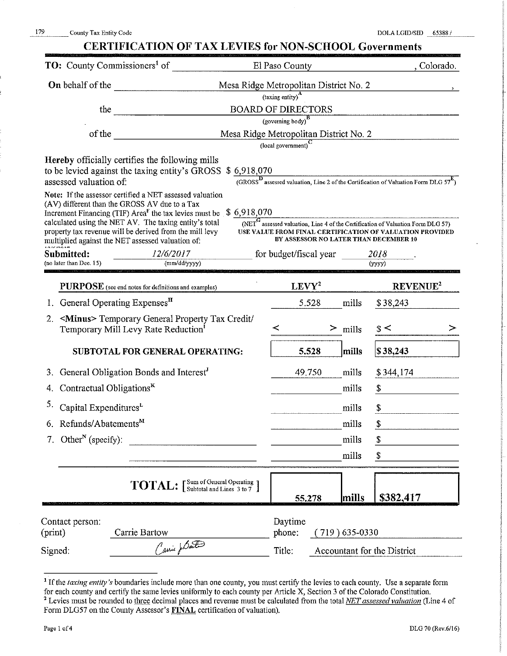| 179<br>County Tax Entity Code              |                                                                                                                                  |                                        |                                                           |                                       |        | DOLA LGID/SID 65388 /                                                                                           |
|--------------------------------------------|----------------------------------------------------------------------------------------------------------------------------------|----------------------------------------|-----------------------------------------------------------|---------------------------------------|--------|-----------------------------------------------------------------------------------------------------------------|
|                                            | <b>CERTIFICATION OF TAX LEVIES for NON-SCHOOL Governments</b>                                                                    |                                        |                                                           |                                       |        |                                                                                                                 |
| TO: County Commissioners <sup>1</sup> of   |                                                                                                                                  |                                        | El Paso County                                            |                                       |        | , Colorado.                                                                                                     |
| On behalf of the                           |                                                                                                                                  | Mesa Ridge Metropolitan District No. 2 |                                                           |                                       |        |                                                                                                                 |
|                                            |                                                                                                                                  |                                        | (taxing entity) <sup>A</sup><br><b>BOARD OF DIRECTORS</b> |                                       |        |                                                                                                                 |
|                                            | the $\qquad \qquad$                                                                                                              |                                        | $(governing body)^B$                                      |                                       |        |                                                                                                                 |
|                                            | of the $\qquad \qquad$                                                                                                           | Mesa Ridge Metropolitan District No. 2 |                                                           |                                       |        |                                                                                                                 |
|                                            |                                                                                                                                  |                                        | $\left($ local government $\right)^{\mathbf{C}}$          |                                       |        |                                                                                                                 |
|                                            | Hereby officially certifies the following mills                                                                                  |                                        |                                                           |                                       |        |                                                                                                                 |
| assessed valuation of:                     | to be levied against the taxing entity's GROSS \$ 6,918,070                                                                      |                                        |                                                           |                                       |        | $\frac{10,910,070}{10,088}$ assessed valuation, Line 2 of the Certification of Valuation Form DLG $57^E$ )      |
|                                            | Note: If the assessor certified a NET assessed valuation                                                                         |                                        |                                                           |                                       |        |                                                                                                                 |
|                                            | (AV) different than the GROSS AV due to a Tax<br>Increment Financing (TIF) Area <sup>F</sup> the tax levies must be $$6,918,070$ |                                        |                                                           |                                       |        |                                                                                                                 |
|                                            | calculated using the NET AV. The taxing entity's total                                                                           |                                        |                                                           |                                       |        | $\overline{\text{(NET}}^{\mathbf{G}}$ assessed valuation, Line 4 of the Certification of Valuation Form DLG 57) |
|                                            | property tax revenue will be derived from the mill levy<br>multiplied against the NET assessed valuation of:                     |                                        |                                                           | BY ASSESSOR NO LATER THAN DECEMBER 10 |        | USE VALUE FROM FINAL CERTIFICATION OF VALUATION PROVIDED                                                        |
| Submitted:                                 | 12/6/2017                                                                                                                        |                                        |                                                           | for budget/fiscal year                | 2018   |                                                                                                                 |
| (no later than Dec. 15)                    | (mm/dd/yyyy)                                                                                                                     |                                        |                                                           |                                       | (yyyy) |                                                                                                                 |
|                                            | PURPOSE (see end notes for definitions and examples)                                                                             |                                        | $LEVY^2$                                                  |                                       |        | REVENUE <sup>2</sup>                                                                                            |
| 1. General Operating Expenses <sup>H</sup> |                                                                                                                                  |                                        | 5.528                                                     | mills                                 |        | \$38,243                                                                                                        |
| 2 <sub>1</sub>                             | <minus> Temporary General Property Tax Credit/<br/>Temporary Mill Levy Rate Reduction<sup>1</sup></minus>                        |                                        | $\,<\,$                                                   | $>$ mills                             | s<     | ➢                                                                                                               |
|                                            | <b>SUBTOTAL FOR GENERAL OPERATING:</b>                                                                                           |                                        | 5.528                                                     | mills                                 |        | \$38,243                                                                                                        |
| 3.                                         | General Obligation Bonds and Interest <sup>J</sup>                                                                               |                                        | 49.750                                                    | mills                                 |        | \$344,174                                                                                                       |
| 4. Contractual Obligations <sup>K</sup>    |                                                                                                                                  |                                        |                                                           | mills                                 | \$     |                                                                                                                 |
| 5.<br>Capital ExpendituresL                |                                                                                                                                  |                                        |                                                           | mills                                 | \$     |                                                                                                                 |
| Refunds/Abatements <sup>M</sup><br>6.      |                                                                                                                                  |                                        |                                                           | mills                                 | \$     |                                                                                                                 |
| Other <sup>N</sup> (specify):<br>7.        |                                                                                                                                  |                                        |                                                           | mills                                 | \$     |                                                                                                                 |
|                                            |                                                                                                                                  |                                        |                                                           | mills                                 | \$     |                                                                                                                 |
|                                            | <b>TOTAL:</b> [Sum of General Operating ]                                                                                        |                                        |                                                           |                                       |        |                                                                                                                 |
|                                            |                                                                                                                                  |                                        | 55.278                                                    | mills                                 |        | \$382,417                                                                                                       |
|                                            |                                                                                                                                  |                                        |                                                           |                                       |        |                                                                                                                 |
| Contact person:<br>(print)                 | Carrie Bartow                                                                                                                    |                                        | Daytime<br>phone:                                         | $(719)$ 635-0330                      |        |                                                                                                                 |
| Signed:                                    | Canic parte                                                                                                                      |                                        | Title:                                                    | Accountant for the District           |        |                                                                                                                 |
|                                            |                                                                                                                                  |                                        |                                                           |                                       |        |                                                                                                                 |

<sup>&</sup>lt;sup>1</sup> If the *taxing entity's* boundaries include more than one county, you must certify the levies to each county. Use a separate form for each county and certify the same levies uniformly to each county per Article X, Section 3 of the Colorado Constitution. <sup>2</sup> Levies must be rounded to three decimal places and revenue must be calculated from the total *NET assessed valuation* (Line 4 of Form DLG57 on the County Assessor's FINAL certification of valuation).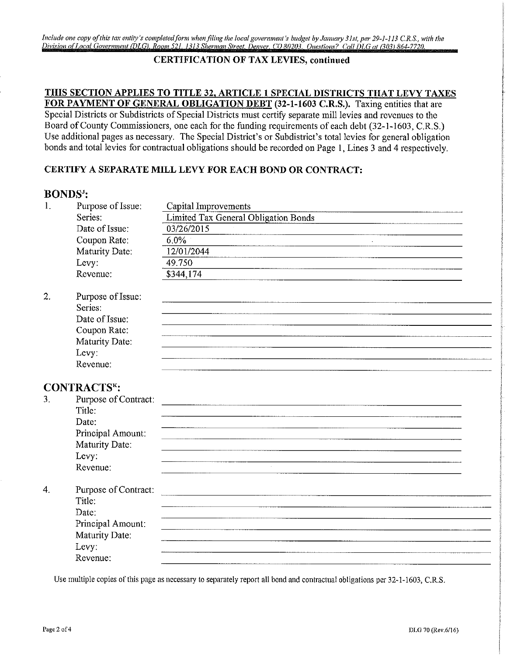Include one copy of this tax entity's completed form when filing the local government's budget by January 31st, per 29-1-113 C.R.S., with the *Division of Local Government IDLG) Row,, 52/ /3/3 Sherman Street Denver CO 80203. Ones/tom? Coil DLG at (303) 864-7720.* 

# **CERTIFICATION OF TAX LEVIES, continued**

# **THIS SECTION APPLIES TO TITLE 32, ARTICLE 1 SPECIAL DISTRICTS THAT LEVY TAXES**

**FOR PAYMENT OF GENERAL OBLIGATION DEBT (32-1-1603 C.R.S.).** Taxing entities that are Special Districts or Subdistricts of Special Districts must certify separate mill levies and revenues to the Board of County Commissioners, one each for the funding requirements of each debt (32-1-1603, C.R.S.) Use additional pages as necessary. The Special District's or Subdistrict's total levies for general obligation bonds and total levies for contractual obligations should be recorded on Page 1, Lines 3 and 4 respectively.

# **CERTIFY A SEPARATE MILL LEVY FOR EACH BOND OR CONTRACT:**

# BONDS":

| 1. | Purpose of Issue:    | Capital Improvements                        |
|----|----------------------|---------------------------------------------|
|    | Series:              | <b>Limited Tax General Obligation Bonds</b> |
|    | Date of Issue:       | 03/26/2015                                  |
|    | Coupon Rate:         | 6.0%<br>$\sim$                              |
|    | Maturity Date:       | 12/01/2044                                  |
|    | Levy:                | 49.750                                      |
|    | Revenue:             | \$344,174                                   |
| 2. | Purpose of Issue:    |                                             |
|    | Series:              |                                             |
|    | Date of Issue:       |                                             |
|    | Coupon Rate:         |                                             |
|    | Maturity Date:       |                                             |
|    | Levy:                |                                             |
|    | Revenue:             |                                             |
|    | <b>CONTRACTSK:</b>   |                                             |
| 3. | Purpose of Contract: |                                             |
|    | Title:               |                                             |
|    | Date:                |                                             |
|    | Principal Amount:    |                                             |
|    | Maturity Date:       |                                             |
|    | Levy:                |                                             |
|    | Revenue:             |                                             |
| 4. | Purpose of Contract: |                                             |
|    | Title:               |                                             |
|    | Date:                |                                             |
|    | Principal Amount:    |                                             |
|    | Maturity Date:       |                                             |
|    | Levy:                |                                             |
|    | Revenue:             |                                             |

Use multiple copies of this page as necessary to separately report all bond and contractual obligations per 32-1-1603, C.R,S.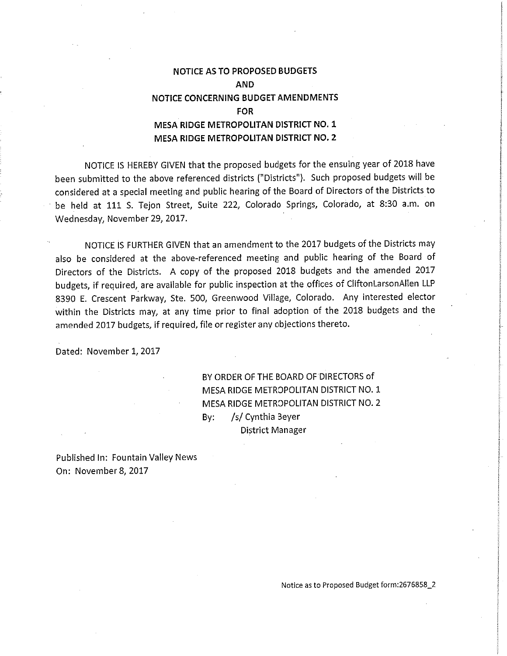# NOTICE AS TO PROPOSED BUDGETS AND NOTICE CONCERNING BUDGET AMENDMENTS FOR MESA RIDGE METROPOLITAN DISTRICT NO. 1 MESA RIDGE METROPOLITAN DISTRICT NO.2

NOTICE IS HEREBY GIVEN that the proposed budgets for the ensuing year of 2018 have been submitted to the above referenced districts ("Districts"). Such proposed budgets will be considered at a special meeting and public hearing of the Board of Directors of the Districts to be held at 111 S. Tejon Street, Suite 222, Colorado Springs, Colorado, at 8:30 a.m. on Wednesday, November 29, 2017.

NOTICE IS FURTHER GIVEN that an amendment to the 2017 budgets of the Districts may also be considered at the above-referenced meeting and public hearing of the Board of Directors of the Districts. A copy of the proposed 2018 budgets and the amended 2017 budgets, if required, are available for public inspection at the offices of CliftonLarsonAllen LLP 8390 E. Crescent Parkway, Ste. 500, Greenwood Village, Colorado. Any interested elector within the Districts may, at any time prior to final adoption of the 2018 budgets and the amended 2017 budgets, if required, file or register any objections thereto.

Dated: November 1,2017

BY ORDER OF THE BOARD OF DIRECTORS of MESA RIDGE METROPOLITAN DISTRICT NO. 1 MESA RIDGE METROPOLITAN DISTRICT NO. 2 By: /5/ Cynthia Beyer District Manager

Published In: Fountain Valley News On: November 8, 2017

Notice as to Proposed Budget form:2676858\_2